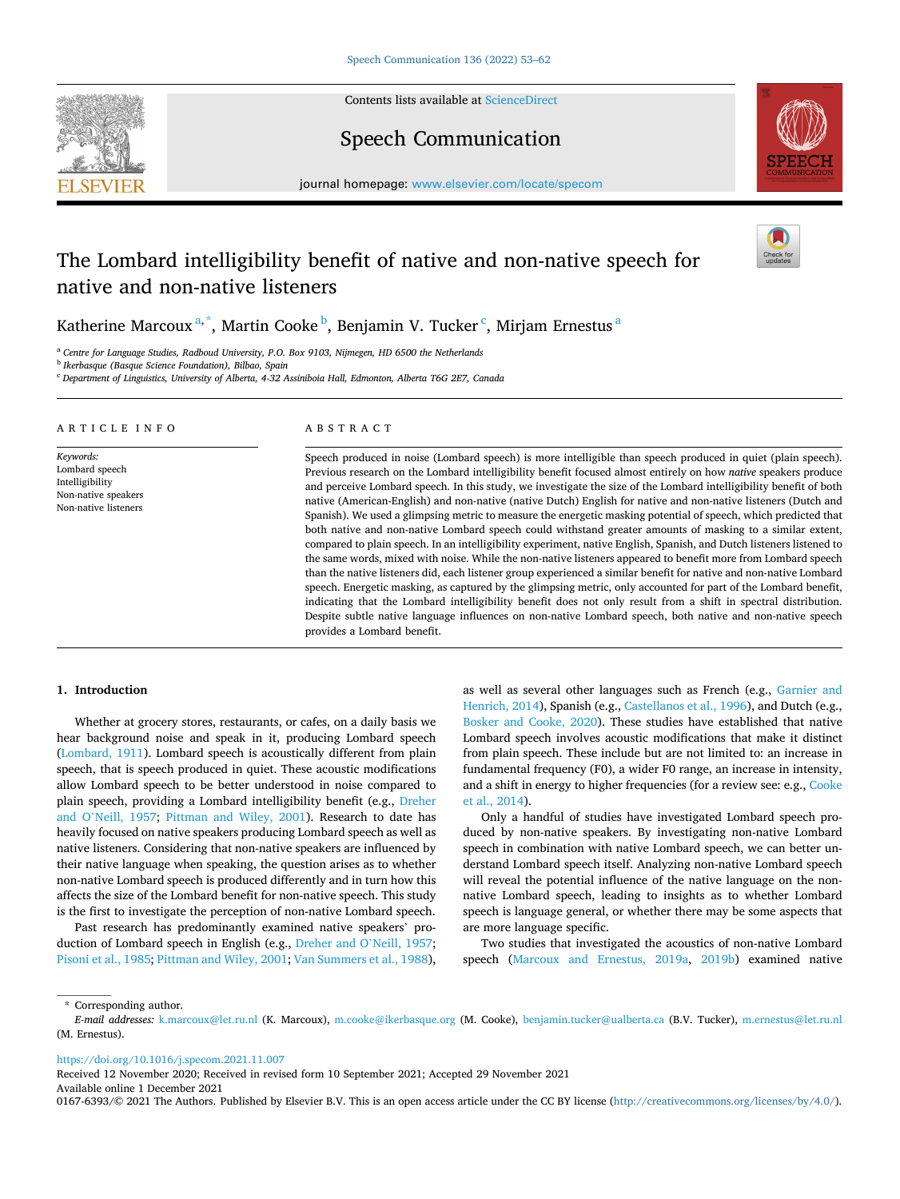**SEVIER** 

Contents lists available at [ScienceDirect](www.sciencedirect.com/science/journal/01676393)

# Speech Communication



journal homepage: [www.elsevier.com/locate/specom](https://www.elsevier.com/locate/specom)

# The Lombard intelligibility benefit of native and non-native speech for native and non-native listeners

Katherine Marcoux $^{\mathrm{a},\mathrm{*}}$ , Martin Cooke $^{\mathrm{b}}$ , Benjamin V. Tucker $^{\mathrm{c}}$ , Mirjam Ernestus $^{\mathrm{a}}$ 

<sup>a</sup> *Centre for Language Studies, Radboud University, P.O. Box 9103, Nijmegen, HD 6500 the Netherlands* 

<sup>b</sup> *Ikerbasque (Basque Science Foundation), Bilbao, Spain* 

<sup>c</sup> *Department of Linguistics, University of Alberta, 4-32 Assiniboia Hall, Edmonton, Alberta T6G 2E7, Canada* 

| ARTICLE INFO                                                                                  | A B S T R A C T                                                                                                                                                                                                                                                                                                                                                                                                                                                                                                                                                                                                                                                                                                                                                                                                                                                                                                                                                                                                                                                                                                                                                                                                                                                                                                                                                                                                                                          |
|-----------------------------------------------------------------------------------------------|----------------------------------------------------------------------------------------------------------------------------------------------------------------------------------------------------------------------------------------------------------------------------------------------------------------------------------------------------------------------------------------------------------------------------------------------------------------------------------------------------------------------------------------------------------------------------------------------------------------------------------------------------------------------------------------------------------------------------------------------------------------------------------------------------------------------------------------------------------------------------------------------------------------------------------------------------------------------------------------------------------------------------------------------------------------------------------------------------------------------------------------------------------------------------------------------------------------------------------------------------------------------------------------------------------------------------------------------------------------------------------------------------------------------------------------------------------|
| Keywords:<br>Lombard speech<br>Intelligibility<br>Non-native speakers<br>Non-native listeners | Speech produced in noise (Lombard speech) is more intelligible than speech produced in quiet (plain speech).<br>Previous research on the Lombard intelligibility benefit focused almost entirely on how native speakers produce<br>and perceive Lombard speech. In this study, we investigate the size of the Lombard intelligibility benefit of both<br>native (American-English) and non-native (native Dutch) English for native and non-native listeners (Dutch and<br>Spanish). We used a glimpsing metric to measure the energetic masking potential of speech, which predicted that<br>both native and non-native Lombard speech could withstand greater amounts of masking to a similar extent,<br>compared to plain speech. In an intelligibility experiment, native English, Spanish, and Dutch listeners listened to<br>the same words, mixed with noise. While the non-native listeners appeared to benefit more from Lombard speech<br>than the native listeners did, each listener group experienced a similar benefit for native and non-native Lombard<br>speech. Energetic masking, as captured by the glimpsing metric, only accounted for part of the Lombard benefit,<br>indicating that the Lombard intelligibility benefit does not only result from a shift in spectral distribution.<br>Despite subtle native language influences on non-native Lombard speech, both native and non-native speech<br>provides a Lombard benefit. |

#### **1. Introduction**

Whether at grocery stores, restaurants, or cafes, on a daily basis we hear background noise and speak in it, producing Lombard speech ([Lombard, 1911](#page-9-0)). Lombard speech is acoustically different from plain speech, that is speech produced in quiet. These acoustic modifications allow Lombard speech to be better understood in noise compared to plain speech, providing a Lombard intelligibility benefit (e.g., [Dreher](#page-9-0)  and O'[Neill, 1957;](#page-9-0) [Pittman and Wiley, 2001\)](#page-9-0). Research to date has heavily focused on native speakers producing Lombard speech as well as native listeners. Considering that non-native speakers are influenced by their native language when speaking, the question arises as to whether non-native Lombard speech is produced differently and in turn how this affects the size of the Lombard benefit for non-native speech. This study is the first to investigate the perception of non-native Lombard speech.

Past research has predominantly examined native speakers' production of Lombard speech in English (e.g., [Dreher and O](#page-9-0)'Neill, 1957; [Pisoni et al., 1985; Pittman and Wiley, 2001; Van Summers et al., 1988](#page-9-0)), as well as several other languages such as French (e.g., [Garnier and](#page-9-0)  [Henrich, 2014\)](#page-9-0), Spanish (e.g., [Castellanos et al., 1996](#page-9-0)), and Dutch (e.g., [Bosker and Cooke, 2020](#page-9-0)). These studies have established that native Lombard speech involves acoustic modifications that make it distinct from plain speech. These include but are not limited to: an increase in fundamental frequency (F0), a wider F0 range, an increase in intensity, and a shift in energy to higher frequencies (for a review see: e.g., [Cooke](#page-9-0)  [et al., 2014\)](#page-9-0).

Only a handful of studies have investigated Lombard speech produced by non-native speakers. By investigating non-native Lombard speech in combination with native Lombard speech, we can better understand Lombard speech itself. Analyzing non-native Lombard speech will reveal the potential influence of the native language on the nonnative Lombard speech, leading to insights as to whether Lombard speech is language general, or whether there may be some aspects that are more language specific.

Two studies that investigated the acoustics of non-native Lombard speech [\(Marcoux and Ernestus, 2019a,](#page-9-0) [2019b](#page-9-0)) examined native

\* Corresponding author.

<https://doi.org/10.1016/j.specom.2021.11.007>

Available online 1 December 2021 Received 12 November 2020; Received in revised form 10 September 2021; Accepted 29 November 2021

0167-6393/© 2021 The Authors. Published by Elsevier B.V. This is an open access article under the CC BY license [\(http://creativecommons.org/licenses/by/4.0/\)](http://creativecommons.org/licenses/by/4.0/).

*E-mail addresses:* [k.marcoux@let.ru.nl](mailto:k.marcoux@let.ru.nl) (K. Marcoux), [m.cooke@ikerbasque.org](mailto:m.cooke@ikerbasque.org) (M. Cooke), [benjamin.tucker@ualberta.ca](mailto:benjamin.tucker@ualberta.ca) (B.V. Tucker), [m.ernestus@let.ru.nl](mailto:m.ernestus@let.ru.nl)  (M. Ernestus).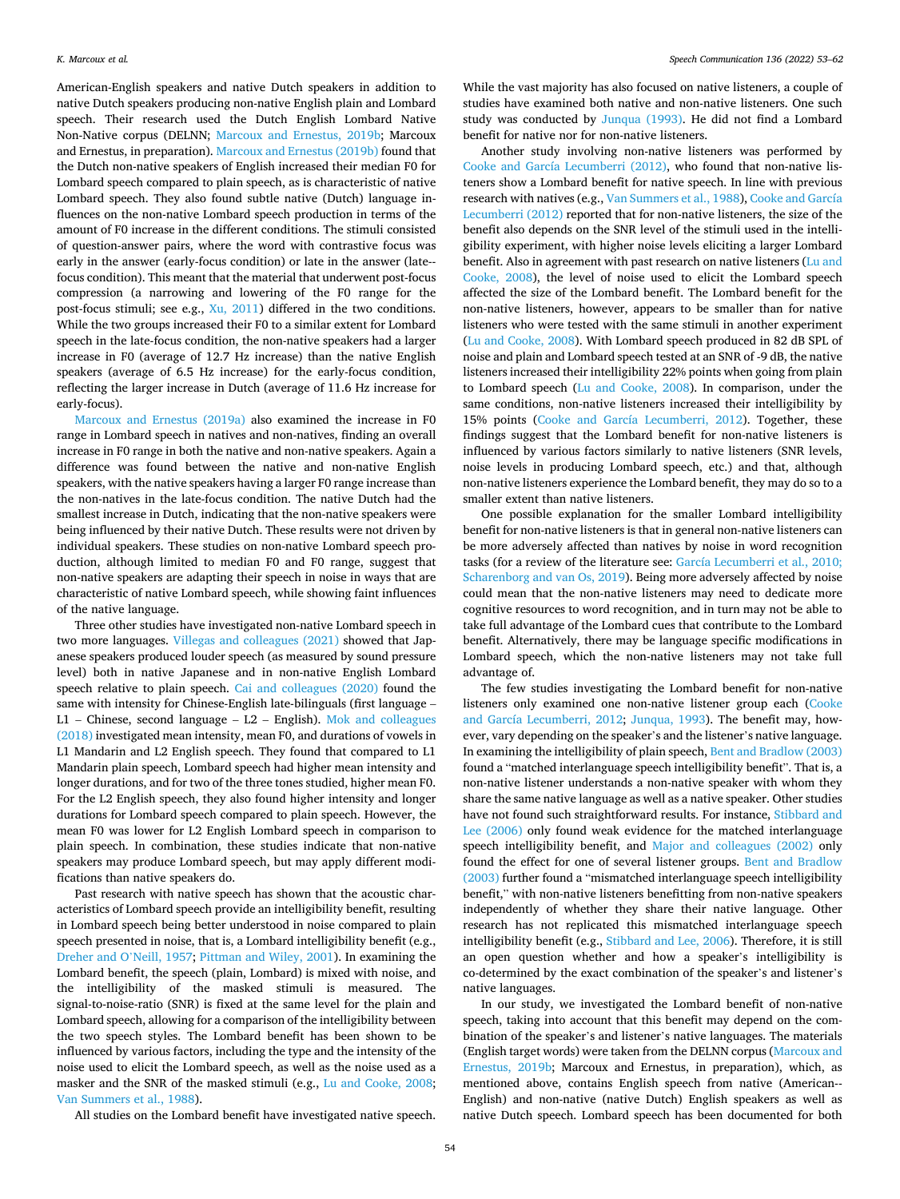American-English speakers and native Dutch speakers in addition to native Dutch speakers producing non-native English plain and Lombard speech. Their research used the Dutch English Lombard Native Non-Native corpus (DELNN; [Marcoux and Ernestus, 2019b](#page-9-0); Marcoux and Ernestus, in preparation). [Marcoux and Ernestus \(2019b\)](#page-9-0) found that the Dutch non-native speakers of English increased their median F0 for Lombard speech compared to plain speech, as is characteristic of native Lombard speech. They also found subtle native (Dutch) language influences on the non-native Lombard speech production in terms of the amount of F0 increase in the different conditions. The stimuli consisted of question-answer pairs, where the word with contrastive focus was early in the answer (early-focus condition) or late in the answer (late-focus condition). This meant that the material that underwent post-focus compression (a narrowing and lowering of the F0 range for the post-focus stimuli; see e.g., [Xu, 2011\)](#page-9-0) differed in the two conditions. While the two groups increased their F0 to a similar extent for Lombard speech in the late-focus condition, the non-native speakers had a larger increase in F0 (average of 12.7 Hz increase) than the native English speakers (average of 6.5 Hz increase) for the early-focus condition, reflecting the larger increase in Dutch (average of 11.6 Hz increase for early-focus).

[Marcoux and Ernestus \(2019a\)](#page-9-0) also examined the increase in F0 range in Lombard speech in natives and non-natives, finding an overall increase in F0 range in both the native and non-native speakers. Again a difference was found between the native and non-native English speakers, with the native speakers having a larger F0 range increase than the non-natives in the late-focus condition. The native Dutch had the smallest increase in Dutch, indicating that the non-native speakers were being influenced by their native Dutch. These results were not driven by individual speakers. These studies on non-native Lombard speech production, although limited to median F0 and F0 range, suggest that non-native speakers are adapting their speech in noise in ways that are characteristic of native Lombard speech, while showing faint influences of the native language.

Three other studies have investigated non-native Lombard speech in two more languages. [Villegas and colleagues \(2021\)](#page-9-0) showed that Japanese speakers produced louder speech (as measured by sound pressure level) both in native Japanese and in non-native English Lombard speech relative to plain speech. [Cai and colleagues \(2020\)](#page-9-0) found the same with intensity for Chinese-English late-bilinguals (first language – L1 – Chinese, second language – L2 – English). [Mok and colleagues](#page-9-0)  [\(2018\)](#page-9-0) investigated mean intensity, mean F0, and durations of vowels in L1 Mandarin and L2 English speech. They found that compared to L1 Mandarin plain speech, Lombard speech had higher mean intensity and longer durations, and for two of the three tones studied, higher mean F0. For the L2 English speech, they also found higher intensity and longer durations for Lombard speech compared to plain speech. However, the mean F0 was lower for L2 English Lombard speech in comparison to plain speech. In combination, these studies indicate that non-native speakers may produce Lombard speech, but may apply different modifications than native speakers do.

Past research with native speech has shown that the acoustic characteristics of Lombard speech provide an intelligibility benefit, resulting in Lombard speech being better understood in noise compared to plain speech presented in noise, that is, a Lombard intelligibility benefit (e.g., [Dreher and O](#page-9-0)'Neill, 1957; [Pittman and Wiley, 2001\)](#page-9-0). In examining the Lombard benefit, the speech (plain, Lombard) is mixed with noise, and the intelligibility of the masked stimuli is measured. The signal-to-noise-ratio (SNR) is fixed at the same level for the plain and Lombard speech, allowing for a comparison of the intelligibility between the two speech styles. The Lombard benefit has been shown to be influenced by various factors, including the type and the intensity of the noise used to elicit the Lombard speech, as well as the noise used as a masker and the SNR of the masked stimuli (e.g., [Lu and Cooke, 2008](#page-9-0); [Van Summers et al., 1988\)](#page-9-0).

All studies on the Lombard benefit have investigated native speech.

While the vast majority has also focused on native listeners, a couple of studies have examined both native and non-native listeners. One such study was conducted by [Junqua \(1993\).](#page-9-0) He did not find a Lombard benefit for native nor for non-native listeners.

Another study involving non-native listeners was performed by [Cooke and García Lecumberri \(2012\)](#page-9-0), who found that non-native listeners show a Lombard benefit for native speech. In line with previous research with natives (e.g., [Van Summers et al., 1988\)](#page-9-0), [Cooke and García](#page-9-0)  [Lecumberri \(2012\)](#page-9-0) reported that for non-native listeners, the size of the benefit also depends on the SNR level of the stimuli used in the intelligibility experiment, with higher noise levels eliciting a larger Lombard benefit. Also in agreement with past research on native listeners ([Lu and](#page-9-0)  [Cooke, 2008\)](#page-9-0), the level of noise used to elicit the Lombard speech affected the size of the Lombard benefit. The Lombard benefit for the non-native listeners, however, appears to be smaller than for native listeners who were tested with the same stimuli in another experiment ([Lu and Cooke, 2008\)](#page-9-0). With Lombard speech produced in 82 dB SPL of noise and plain and Lombard speech tested at an SNR of -9 dB, the native listeners increased their intelligibility 22% points when going from plain to Lombard speech [\(Lu and Cooke, 2008](#page-9-0)). In comparison, under the same conditions, non-native listeners increased their intelligibility by 15% points ([Cooke and García Lecumberri, 2012\)](#page-9-0). Together, these findings suggest that the Lombard benefit for non-native listeners is influenced by various factors similarly to native listeners (SNR levels, noise levels in producing Lombard speech, etc.) and that, although non-native listeners experience the Lombard benefit, they may do so to a smaller extent than native listeners.

One possible explanation for the smaller Lombard intelligibility benefit for non-native listeners is that in general non-native listeners can be more adversely affected than natives by noise in word recognition tasks (for a review of the literature see: [García Lecumberri et al., 2010;](#page-9-0)  [Scharenborg and van Os, 2019\)](#page-9-0). Being more adversely affected by noise could mean that the non-native listeners may need to dedicate more cognitive resources to word recognition, and in turn may not be able to take full advantage of the Lombard cues that contribute to the Lombard benefit. Alternatively, there may be language specific modifications in Lombard speech, which the non-native listeners may not take full advantage of.

The few studies investigating the Lombard benefit for non-native listeners only examined one non-native listener group each ([Cooke](#page-9-0)  [and García Lecumberri, 2012](#page-9-0); [Junqua, 1993](#page-9-0)). The benefit may, however, vary depending on the speaker's and the listener's native language. In examining the intelligibility of plain speech, [Bent and Bradlow \(2003\)](#page-9-0)  found a "matched interlanguage speech intelligibility benefit". That is, a non-native listener understands a non-native speaker with whom they share the same native language as well as a native speaker. Other studies have not found such straightforward results. For instance, [Stibbard and](#page-9-0)  [Lee \(2006\)](#page-9-0) only found weak evidence for the matched interlanguage speech intelligibility benefit, and [Major and colleagues \(2002\)](#page-9-0) only found the effect for one of several listener groups. [Bent and Bradlow](#page-9-0)  [\(2003\)](#page-9-0) further found a "mismatched interlanguage speech intelligibility benefit," with non-native listeners benefitting from non-native speakers independently of whether they share their native language. Other research has not replicated this mismatched interlanguage speech intelligibility benefit (e.g., [Stibbard and Lee, 2006](#page-9-0)). Therefore, it is still an open question whether and how a speaker's intelligibility is co-determined by the exact combination of the speaker's and listener's native languages.

In our study, we investigated the Lombard benefit of non-native speech, taking into account that this benefit may depend on the combination of the speaker's and listener's native languages. The materials (English target words) were taken from the DELNN corpus [\(Marcoux and](#page-9-0)  [Ernestus, 2019b](#page-9-0); Marcoux and Ernestus, in preparation), which, as mentioned above, contains English speech from native (American--English) and non-native (native Dutch) English speakers as well as native Dutch speech. Lombard speech has been documented for both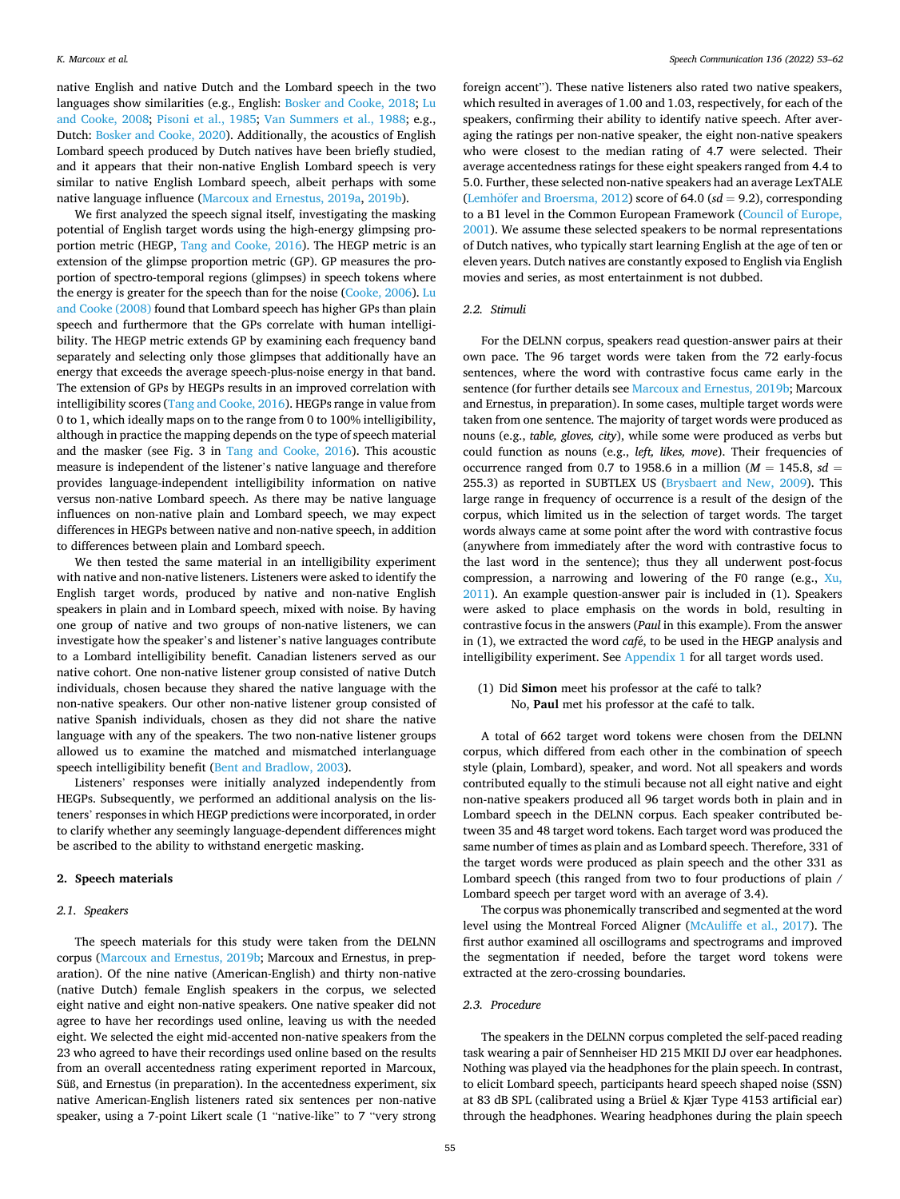native English and native Dutch and the Lombard speech in the two languages show similarities (e.g., English: [Bosker and Cooke, 2018](#page-9-0); [Lu](#page-9-0)  [and Cooke, 2008;](#page-9-0) [Pisoni et al., 1985;](#page-9-0) [Van Summers et al., 1988;](#page-9-0) e.g., Dutch: [Bosker and Cooke, 2020](#page-9-0)). Additionally, the acoustics of English Lombard speech produced by Dutch natives have been briefly studied, and it appears that their non-native English Lombard speech is very similar to native English Lombard speech, albeit perhaps with some native language influence ([Marcoux and Ernestus, 2019a,](#page-9-0) [2019b\)](#page-9-0).

We first analyzed the speech signal itself, investigating the masking potential of English target words using the high-energy glimpsing proportion metric (HEGP, [Tang and Cooke, 2016\)](#page-9-0). The HEGP metric is an extension of the glimpse proportion metric (GP). GP measures the proportion of spectro-temporal regions (glimpses) in speech tokens where the energy is greater for the speech than for the noise ([Cooke, 2006\)](#page-9-0). [Lu](#page-9-0)  [and Cooke \(2008\)](#page-9-0) found that Lombard speech has higher GPs than plain speech and furthermore that the GPs correlate with human intelligibility. The HEGP metric extends GP by examining each frequency band separately and selecting only those glimpses that additionally have an energy that exceeds the average speech-plus-noise energy in that band. The extension of GPs by HEGPs results in an improved correlation with intelligibility scores [\(Tang and Cooke, 2016\)](#page-9-0). HEGPs range in value from 0 to 1, which ideally maps on to the range from 0 to 100% intelligibility, although in practice the mapping depends on the type of speech material and the masker (see Fig. 3 in [Tang and Cooke, 2016\)](#page-9-0). This acoustic measure is independent of the listener's native language and therefore provides language-independent intelligibility information on native versus non-native Lombard speech. As there may be native language influences on non-native plain and Lombard speech, we may expect differences in HEGPs between native and non-native speech, in addition to differences between plain and Lombard speech.

We then tested the same material in an intelligibility experiment with native and non-native listeners. Listeners were asked to identify the English target words, produced by native and non-native English speakers in plain and in Lombard speech, mixed with noise. By having one group of native and two groups of non-native listeners, we can investigate how the speaker's and listener's native languages contribute to a Lombard intelligibility benefit. Canadian listeners served as our native cohort. One non-native listener group consisted of native Dutch individuals, chosen because they shared the native language with the non-native speakers. Our other non-native listener group consisted of native Spanish individuals, chosen as they did not share the native language with any of the speakers. The two non-native listener groups allowed us to examine the matched and mismatched interlanguage speech intelligibility benefit ([Bent and Bradlow, 2003\)](#page-9-0).

Listeners' responses were initially analyzed independently from HEGPs. Subsequently, we performed an additional analysis on the listeners' responses in which HEGP predictions were incorporated, in order to clarify whether any seemingly language-dependent differences might be ascribed to the ability to withstand energetic masking.

## **2. Speech materials**

## *2.1. Speakers*

The speech materials for this study were taken from the DELNN corpus ([Marcoux and Ernestus, 2019b](#page-9-0); Marcoux and Ernestus, in preparation). Of the nine native (American-English) and thirty non-native (native Dutch) female English speakers in the corpus, we selected eight native and eight non-native speakers. One native speaker did not agree to have her recordings used online, leaving us with the needed eight. We selected the eight mid-accented non-native speakers from the 23 who agreed to have their recordings used online based on the results from an overall accentedness rating experiment reported in Marcoux, Süß, and Ernestus (in preparation). In the accentedness experiment, six native American-English listeners rated six sentences per non-native speaker, using a 7-point Likert scale (1 "native-like" to 7 "very strong foreign accent"). These native listeners also rated two native speakers, which resulted in averages of 1.00 and 1.03, respectively, for each of the speakers, confirming their ability to identify native speech. After averaging the ratings per non-native speaker, the eight non-native speakers who were closest to the median rating of 4.7 were selected. Their average accentedness ratings for these eight speakers ranged from 4.4 to 5.0. Further, these selected non-native speakers had an average LexTALE (Lemhöfer [and Broersma, 2012\)](#page-9-0) score of 64.0 ( $sd = 9.2$ ), corresponding to a B1 level in the Common European Framework ([Council of Europe,](#page-9-0)  [2001\)](#page-9-0). We assume these selected speakers to be normal representations of Dutch natives, who typically start learning English at the age of ten or eleven years. Dutch natives are constantly exposed to English via English movies and series, as most entertainment is not dubbed.

## *2.2. Stimuli*

For the DELNN corpus, speakers read question-answer pairs at their own pace. The 96 target words were taken from the 72 early-focus sentences, where the word with contrastive focus came early in the sentence (for further details see [Marcoux and Ernestus, 2019b;](#page-9-0) Marcoux and Ernestus, in preparation). In some cases, multiple target words were taken from one sentence. The majority of target words were produced as nouns (e.g., *table, gloves, city*), while some were produced as verbs but could function as nouns (e.g., *left, likes, move*). Their frequencies of occurrence ranged from 0.7 to 1958.6 in a million ( $M = 145.8$ ,  $sd =$ 255.3) as reported in SUBTLEX US ([Brysbaert and New, 2009](#page-9-0)). This large range in frequency of occurrence is a result of the design of the corpus, which limited us in the selection of target words. The target words always came at some point after the word with contrastive focus (anywhere from immediately after the word with contrastive focus to the last word in the sentence); thus they all underwent post-focus compression, a narrowing and lowering of the F0 range (e.g.,  $Xu$ , [2011\)](#page-9-0). An example question-answer pair is included in (1). Speakers were asked to place emphasis on the words in bold, resulting in contrastive focus in the answers (*Paul* in this example). From the answer in (1), we extracted the word *café*, to be used in the HEGP analysis and intelligibility experiment. See [Appendix 1](#page-8-0) for all target words used.

(1) Did Simon meet his professor at the café to talk? No, **Paul** met his professor at the café to talk.

A total of 662 target word tokens were chosen from the DELNN corpus, which differed from each other in the combination of speech style (plain, Lombard), speaker, and word. Not all speakers and words contributed equally to the stimuli because not all eight native and eight non-native speakers produced all 96 target words both in plain and in Lombard speech in the DELNN corpus. Each speaker contributed between 35 and 48 target word tokens. Each target word was produced the same number of times as plain and as Lombard speech. Therefore, 331 of the target words were produced as plain speech and the other 331 as Lombard speech (this ranged from two to four productions of plain / Lombard speech per target word with an average of 3.4).

The corpus was phonemically transcribed and segmented at the word level using the Montreal Forced Aligner ([McAuliffe et al., 2017](#page-9-0)). The first author examined all oscillograms and spectrograms and improved the segmentation if needed, before the target word tokens were extracted at the zero-crossing boundaries.

## *2.3. Procedure*

The speakers in the DELNN corpus completed the self-paced reading task wearing a pair of Sennheiser HD 215 MKII DJ over ear headphones. Nothing was played via the headphones for the plain speech. In contrast, to elicit Lombard speech, participants heard speech shaped noise (SSN) at 83 dB SPL (calibrated using a Brüel & Kjær Type 4153 artificial ear) through the headphones. Wearing headphones during the plain speech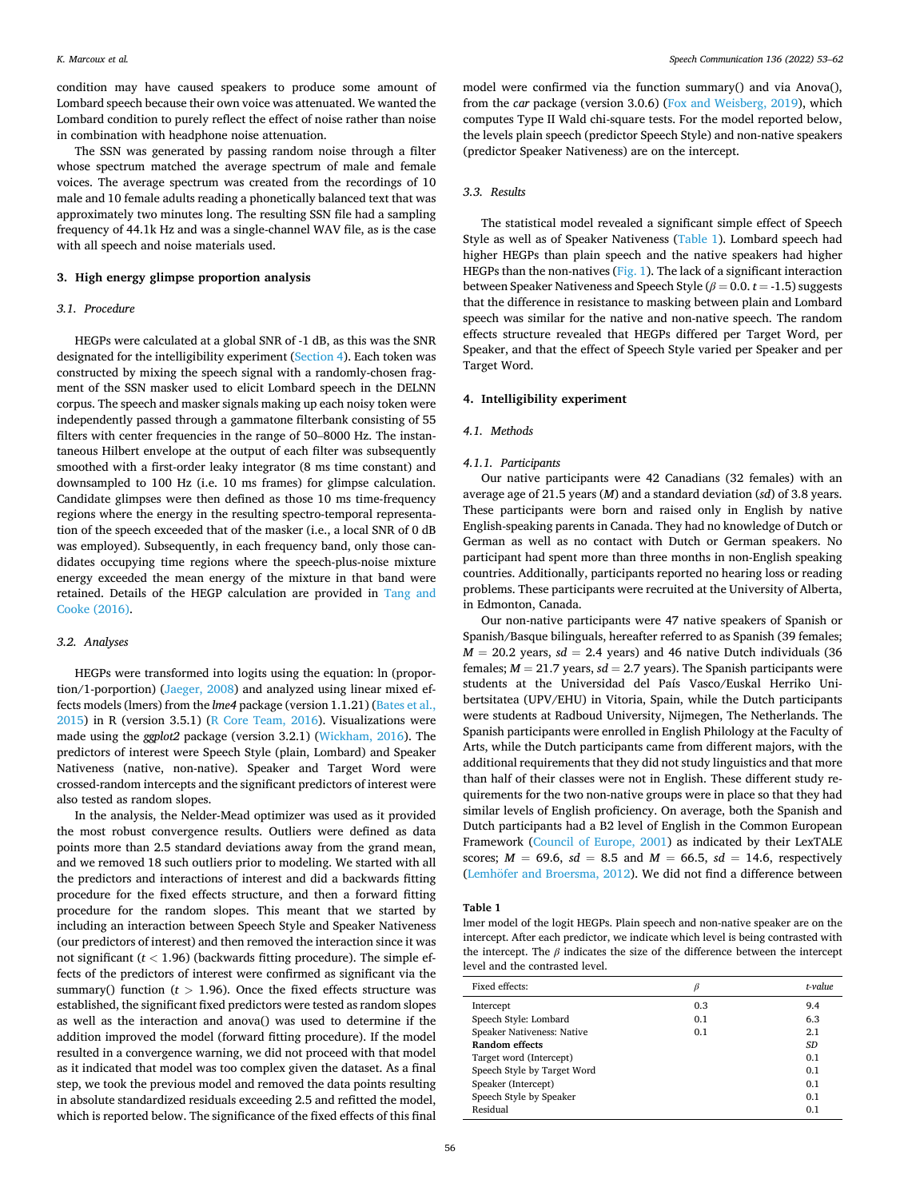<span id="page-3-0"></span>condition may have caused speakers to produce some amount of Lombard speech because their own voice was attenuated. We wanted the Lombard condition to purely reflect the effect of noise rather than noise in combination with headphone noise attenuation.

The SSN was generated by passing random noise through a filter whose spectrum matched the average spectrum of male and female voices. The average spectrum was created from the recordings of 10 male and 10 female adults reading a phonetically balanced text that was approximately two minutes long. The resulting SSN file had a sampling frequency of 44.1k Hz and was a single-channel WAV file, as is the case with all speech and noise materials used.

## **3. High energy glimpse proportion analysis**

#### *3.1. Procedure*

HEGPs were calculated at a global SNR of -1 dB, as this was the SNR designated for the intelligibility experiment (Section 4). Each token was constructed by mixing the speech signal with a randomly-chosen fragment of the SSN masker used to elicit Lombard speech in the DELNN corpus. The speech and masker signals making up each noisy token were independently passed through a gammatone filterbank consisting of 55 filters with center frequencies in the range of 50–8000 Hz. The instantaneous Hilbert envelope at the output of each filter was subsequently smoothed with a first-order leaky integrator (8 ms time constant) and downsampled to 100 Hz (i.e. 10 ms frames) for glimpse calculation. Candidate glimpses were then defined as those 10 ms time-frequency regions where the energy in the resulting spectro-temporal representation of the speech exceeded that of the masker (i.e., a local SNR of 0 dB was employed). Subsequently, in each frequency band, only those candidates occupying time regions where the speech-plus-noise mixture energy exceeded the mean energy of the mixture in that band were retained. Details of the HEGP calculation are provided in [Tang and](#page-9-0)  [Cooke \(2016\).](#page-9-0)

#### *3.2. Analyses*

HEGPs were transformed into logits using the equation: ln (proportion/1-porportion) [\(Jaeger, 2008\)](#page-9-0) and analyzed using linear mixed effects models (lmers) from the *lme4* package (version 1.1.21) [\(Bates et al.,](#page-9-0)  [2015\)](#page-9-0) in R (version 3.5.1) ([R Core Team, 2016\)](#page-9-0). Visualizations were made using the *ggplot2* package (version 3.2.1) [\(Wickham, 2016](#page-9-0)). The predictors of interest were Speech Style (plain, Lombard) and Speaker Nativeness (native, non-native). Speaker and Target Word were crossed-random intercepts and the significant predictors of interest were also tested as random slopes.

In the analysis, the Nelder-Mead optimizer was used as it provided the most robust convergence results. Outliers were defined as data points more than 2.5 standard deviations away from the grand mean, and we removed 18 such outliers prior to modeling. We started with all the predictors and interactions of interest and did a backwards fitting procedure for the fixed effects structure, and then a forward fitting procedure for the random slopes. This meant that we started by including an interaction between Speech Style and Speaker Nativeness (our predictors of interest) and then removed the interaction since it was not significant (*t <* 1.96) (backwards fitting procedure). The simple effects of the predictors of interest were confirmed as significant via the summary() function  $(t > 1.96)$ . Once the fixed effects structure was established, the significant fixed predictors were tested as random slopes as well as the interaction and anova() was used to determine if the addition improved the model (forward fitting procedure). If the model resulted in a convergence warning, we did not proceed with that model as it indicated that model was too complex given the dataset. As a final step, we took the previous model and removed the data points resulting in absolute standardized residuals exceeding 2.5 and refitted the model, which is reported below. The significance of the fixed effects of this final

model were confirmed via the function summary() and via Anova(), from the *car* package (version 3.0.6) [\(Fox and Weisberg, 2019](#page-9-0)), which computes Type II Wald chi-square tests. For the model reported below, the levels plain speech (predictor Speech Style) and non-native speakers (predictor Speaker Nativeness) are on the intercept.

#### *3.3. Results*

The statistical model revealed a significant simple effect of Speech Style as well as of Speaker Nativeness (Table 1). Lombard speech had higher HEGPs than plain speech and the native speakers had higher HEGPs than the non-natives ([Fig. 1\)](#page-4-0). The lack of a significant interaction between Speaker Nativeness and Speech Style (*β* = 0.0. *t* = -1.5) suggests that the difference in resistance to masking between plain and Lombard speech was similar for the native and non-native speech. The random effects structure revealed that HEGPs differed per Target Word, per Speaker, and that the effect of Speech Style varied per Speaker and per Target Word.

## **4. Intelligibility experiment**

#### *4.1. Methods*

#### *4.1.1. Participants*

Our native participants were 42 Canadians (32 females) with an average age of 21.5 years (*M*) and a standard deviation (*sd*) of 3.8 years. These participants were born and raised only in English by native English-speaking parents in Canada. They had no knowledge of Dutch or German as well as no contact with Dutch or German speakers. No participant had spent more than three months in non-English speaking countries. Additionally, participants reported no hearing loss or reading problems. These participants were recruited at the University of Alberta, in Edmonton, Canada.

Our non-native participants were 47 native speakers of Spanish or Spanish/Basque bilinguals, hereafter referred to as Spanish (39 females;  $M = 20.2$  years,  $sd = 2.4$  years) and 46 native Dutch individuals (36 females;  $M = 21.7$  years,  $sd = 2.7$  years). The Spanish participants were students at the Universidad del País Vasco/Euskal Herriko Unibertsitatea (UPV/EHU) in Vitoria, Spain, while the Dutch participants were students at Radboud University, Nijmegen, The Netherlands. The Spanish participants were enrolled in English Philology at the Faculty of Arts, while the Dutch participants came from different majors, with the additional requirements that they did not study linguistics and that more than half of their classes were not in English. These different study requirements for the two non-native groups were in place so that they had similar levels of English proficiency. On average, both the Spanish and Dutch participants had a B2 level of English in the Common European Framework ([Council of Europe, 2001\)](#page-9-0) as indicated by their LexTALE scores;  $M = 69.6$ ,  $sd = 8.5$  and  $M = 66.5$ ,  $sd = 14.6$ , respectively (Lemhöfer [and Broersma, 2012](#page-9-0)). We did not find a difference between

**Table 1** 

lmer model of the logit HEGPs. Plain speech and non-native speaker are on the intercept. After each predictor, we indicate which level is being contrasted with the intercept. The *β* indicates the size of the difference between the intercept level and the contrasted level.

| Fixed effects:              | ß   | t-value |
|-----------------------------|-----|---------|
| Intercept                   | 0.3 | 9.4     |
| Speech Style: Lombard       | 0.1 | 6.3     |
| Speaker Nativeness: Native  | 0.1 | 2.1     |
| <b>Random effects</b>       |     | SD      |
| Target word (Intercept)     |     | 0.1     |
| Speech Style by Target Word |     | 0.1     |
| Speaker (Intercept)         |     | 0.1     |
| Speech Style by Speaker     |     | 0.1     |
| Residual                    |     | 0.1     |
|                             |     |         |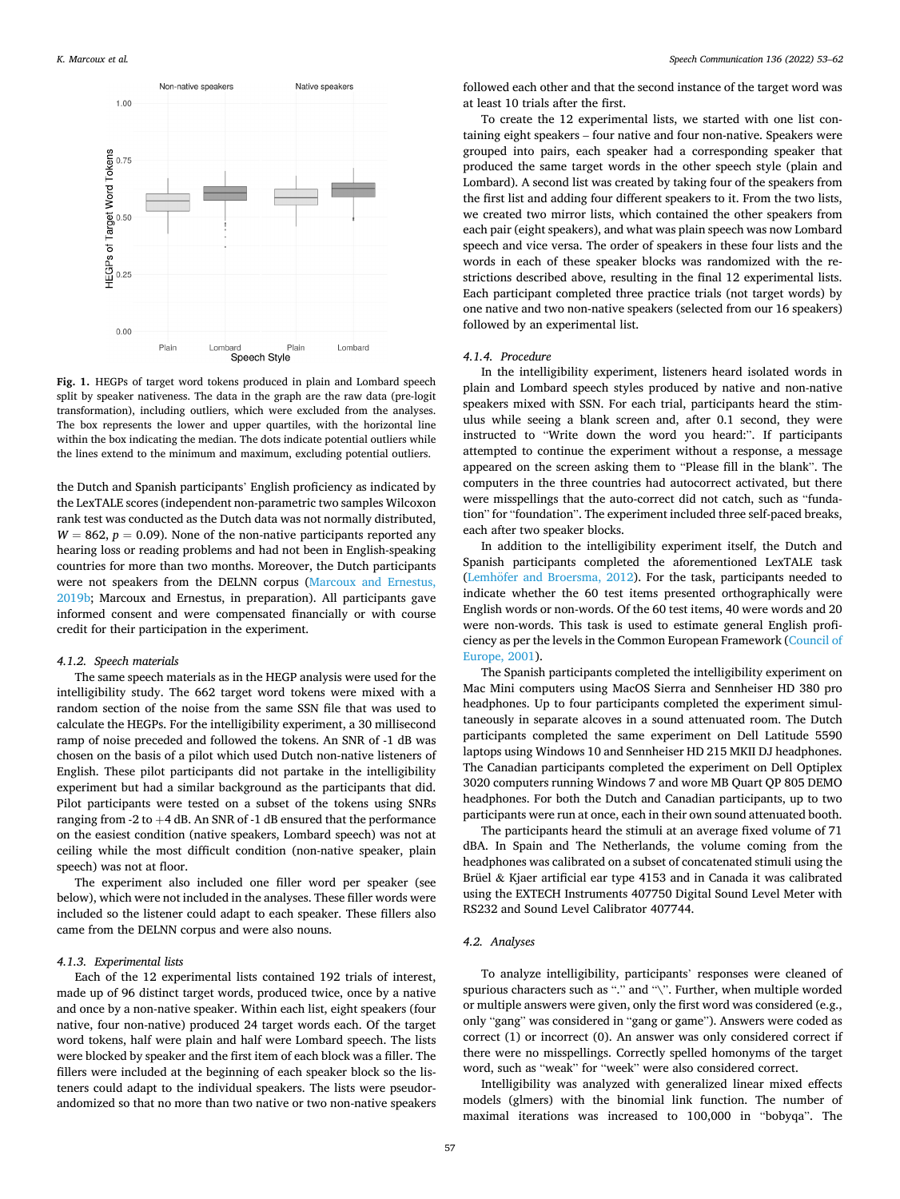<span id="page-4-0"></span>

**Fig. 1.** HEGPs of target word tokens produced in plain and Lombard speech split by speaker nativeness. The data in the graph are the raw data (pre-logit transformation), including outliers, which were excluded from the analyses. The box represents the lower and upper quartiles, with the horizontal line within the box indicating the median. The dots indicate potential outliers while the lines extend to the minimum and maximum, excluding potential outliers.

the Dutch and Spanish participants' English proficiency as indicated by the LexTALE scores (independent non-parametric two samples Wilcoxon rank test was conducted as the Dutch data was not normally distributed,  $W = 862$ ,  $p = 0.09$ ). None of the non-native participants reported any hearing loss or reading problems and had not been in English-speaking countries for more than two months. Moreover, the Dutch participants were not speakers from the DELNN corpus ([Marcoux and Ernestus,](#page-9-0)  [2019b;](#page-9-0) Marcoux and Ernestus, in preparation). All participants gave informed consent and were compensated financially or with course credit for their participation in the experiment.

#### *4.1.2. Speech materials*

The same speech materials as in the HEGP analysis were used for the intelligibility study. The 662 target word tokens were mixed with a random section of the noise from the same SSN file that was used to calculate the HEGPs. For the intelligibility experiment, a 30 millisecond ramp of noise preceded and followed the tokens. An SNR of -1 dB was chosen on the basis of a pilot which used Dutch non-native listeners of English. These pilot participants did not partake in the intelligibility experiment but had a similar background as the participants that did. Pilot participants were tested on a subset of the tokens using SNRs ranging from  $-2$  to  $+4$  dB. An SNR of  $-1$  dB ensured that the performance on the easiest condition (native speakers, Lombard speech) was not at ceiling while the most difficult condition (non-native speaker, plain speech) was not at floor.

The experiment also included one filler word per speaker (see below), which were not included in the analyses. These filler words were included so the listener could adapt to each speaker. These fillers also came from the DELNN corpus and were also nouns.

#### *4.1.3. Experimental lists*

Each of the 12 experimental lists contained 192 trials of interest, made up of 96 distinct target words, produced twice, once by a native and once by a non-native speaker. Within each list, eight speakers (four native, four non-native) produced 24 target words each. Of the target word tokens, half were plain and half were Lombard speech. The lists were blocked by speaker and the first item of each block was a filler. The fillers were included at the beginning of each speaker block so the listeners could adapt to the individual speakers. The lists were pseudorandomized so that no more than two native or two non-native speakers

followed each other and that the second instance of the target word was at least 10 trials after the first.

To create the 12 experimental lists, we started with one list containing eight speakers – four native and four non-native. Speakers were grouped into pairs, each speaker had a corresponding speaker that produced the same target words in the other speech style (plain and Lombard). A second list was created by taking four of the speakers from the first list and adding four different speakers to it. From the two lists, we created two mirror lists, which contained the other speakers from each pair (eight speakers), and what was plain speech was now Lombard speech and vice versa. The order of speakers in these four lists and the words in each of these speaker blocks was randomized with the restrictions described above, resulting in the final 12 experimental lists. Each participant completed three practice trials (not target words) by one native and two non-native speakers (selected from our 16 speakers) followed by an experimental list.

#### *4.1.4. Procedure*

In the intelligibility experiment, listeners heard isolated words in plain and Lombard speech styles produced by native and non-native speakers mixed with SSN. For each trial, participants heard the stimulus while seeing a blank screen and, after 0.1 second, they were instructed to "Write down the word you heard:". If participants attempted to continue the experiment without a response, a message appeared on the screen asking them to "Please fill in the blank". The computers in the three countries had autocorrect activated, but there were misspellings that the auto-correct did not catch, such as "fundation" for "foundation". The experiment included three self-paced breaks, each after two speaker blocks.

In addition to the intelligibility experiment itself, the Dutch and Spanish participants completed the aforementioned LexTALE task (Lemhöfer [and Broersma, 2012](#page-9-0)). For the task, participants needed to indicate whether the 60 test items presented orthographically were English words or non-words. Of the 60 test items, 40 were words and 20 were non-words. This task is used to estimate general English proficiency as per the levels in the Common European Framework [\(Council of](#page-9-0)  [Europe, 2001](#page-9-0)).

The Spanish participants completed the intelligibility experiment on Mac Mini computers using MacOS Sierra and Sennheiser HD 380 pro headphones. Up to four participants completed the experiment simultaneously in separate alcoves in a sound attenuated room. The Dutch participants completed the same experiment on Dell Latitude 5590 laptops using Windows 10 and Sennheiser HD 215 MKII DJ headphones. The Canadian participants completed the experiment on Dell Optiplex 3020 computers running Windows 7 and wore MB Quart QP 805 DEMO headphones. For both the Dutch and Canadian participants, up to two participants were run at once, each in their own sound attenuated booth.

The participants heard the stimuli at an average fixed volume of 71 dBA. In Spain and The Netherlands, the volume coming from the headphones was calibrated on a subset of concatenated stimuli using the Brüel & Kjaer artificial ear type 4153 and in Canada it was calibrated using the EXTECH Instruments 407750 Digital Sound Level Meter with RS232 and Sound Level Calibrator 407744.

## *4.2. Analyses*

To analyze intelligibility, participants' responses were cleaned of spurious characters such as "." and "\". Further, when multiple worded or multiple answers were given, only the first word was considered (e.g., only "gang" was considered in "gang or game"). Answers were coded as correct (1) or incorrect (0). An answer was only considered correct if there were no misspellings. Correctly spelled homonyms of the target word, such as "weak" for "week" were also considered correct.

Intelligibility was analyzed with generalized linear mixed effects models (glmers) with the binomial link function. The number of maximal iterations was increased to 100,000 in "bobyqa". The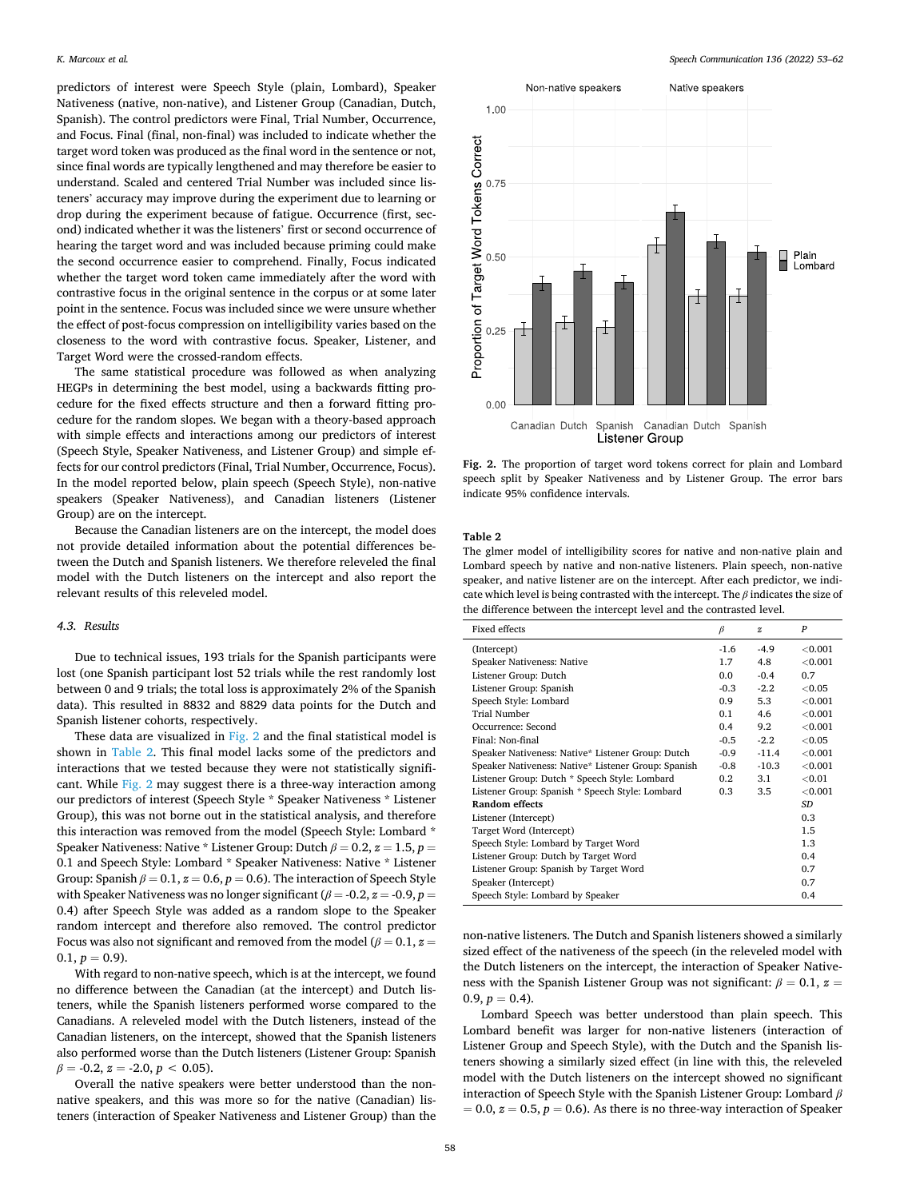<span id="page-5-0"></span>predictors of interest were Speech Style (plain, Lombard), Speaker Nativeness (native, non-native), and Listener Group (Canadian, Dutch, Spanish). The control predictors were Final, Trial Number, Occurrence, and Focus. Final (final, non-final) was included to indicate whether the target word token was produced as the final word in the sentence or not, since final words are typically lengthened and may therefore be easier to understand. Scaled and centered Trial Number was included since listeners' accuracy may improve during the experiment due to learning or drop during the experiment because of fatigue. Occurrence (first, second) indicated whether it was the listeners' first or second occurrence of hearing the target word and was included because priming could make the second occurrence easier to comprehend. Finally, Focus indicated whether the target word token came immediately after the word with contrastive focus in the original sentence in the corpus or at some later point in the sentence. Focus was included since we were unsure whether the effect of post-focus compression on intelligibility varies based on the closeness to the word with contrastive focus. Speaker, Listener, and Target Word were the crossed-random effects.

The same statistical procedure was followed as when analyzing HEGPs in determining the best model, using a backwards fitting procedure for the fixed effects structure and then a forward fitting procedure for the random slopes. We began with a theory-based approach with simple effects and interactions among our predictors of interest (Speech Style, Speaker Nativeness, and Listener Group) and simple effects for our control predictors (Final, Trial Number, Occurrence, Focus). In the model reported below, plain speech (Speech Style), non-native speakers (Speaker Nativeness), and Canadian listeners (Listener Group) are on the intercept.

Because the Canadian listeners are on the intercept, the model does not provide detailed information about the potential differences between the Dutch and Spanish listeners. We therefore releveled the final model with the Dutch listeners on the intercept and also report the relevant results of this releveled model.

## *4.3. Results*

Due to technical issues, 193 trials for the Spanish participants were lost (one Spanish participant lost 52 trials while the rest randomly lost between 0 and 9 trials; the total loss is approximately 2% of the Spanish data). This resulted in 8832 and 8829 data points for the Dutch and Spanish listener cohorts, respectively.

These data are visualized in Fig. 2 and the final statistical model is shown in Table 2. This final model lacks some of the predictors and interactions that we tested because they were not statistically significant. While Fig. 2 may suggest there is a three-way interaction among our predictors of interest (Speech Style \* Speaker Nativeness \* Listener Group), this was not borne out in the statistical analysis, and therefore this interaction was removed from the model (Speech Style: Lombard \* Speaker Nativeness: Native \* Listener Group: Dutch  $\beta = 0.2$ ,  $z = 1.5$ ,  $p =$ 0.1 and Speech Style: Lombard \* Speaker Nativeness: Native \* Listener Group: Spanish  $\beta = 0.1$ ,  $z = 0.6$ ,  $p = 0.6$ ). The interaction of Speech Style with Speaker Nativeness was no longer significant (*β* = *-*0.2, *z* = -0.9, *p* = 0.4) after Speech Style was added as a random slope to the Speaker random intercept and therefore also removed. The control predictor Focus was also not significant and removed from the model ( $\beta = 0.1$ ,  $z =$  $0.1, p = 0.9$ 

With regard to non-native speech, which is at the intercept, we found no difference between the Canadian (at the intercept) and Dutch listeners, while the Spanish listeners performed worse compared to the Canadians. A releveled model with the Dutch listeners, instead of the Canadian listeners, on the intercept, showed that the Spanish listeners also performed worse than the Dutch listeners (Listener Group: Spanish  $\beta = -0.2$ ,  $z = -2.0$ ,  $p < 0.05$ ).

Overall the native speakers were better understood than the nonnative speakers, and this was more so for the native (Canadian) listeners (interaction of Speaker Nativeness and Listener Group) than the



**Fig. 2.** The proportion of target word tokens correct for plain and Lombard speech split by Speaker Nativeness and by Listener Group. The error bars indicate 95% confidence intervals.

#### **Table 2**

The glmer model of intelligibility scores for native and non-native plain and Lombard speech by native and non-native listeners. Plain speech, non-native speaker, and native listener are on the intercept. After each predictor, we indicate which level is being contrasted with the intercept. The *β* indicates the size of the difference between the intercept level and the contrasted level.

| <b>Fixed effects</b>                                | β      | $\boldsymbol{z}$ | $\boldsymbol{P}$ |
|-----------------------------------------------------|--------|------------------|------------------|
| (Intercept)                                         | $-1.6$ | $-4.9$           | ${<}0.001$       |
| Speaker Nativeness: Native                          | 1.7    | 4.8              | ${<}0.001$       |
| Listener Group: Dutch                               | 0.0    | $-0.4$           | 0.7              |
| Listener Group: Spanish                             | $-0.3$ | $-2.2$           | < 0.05           |
| Speech Style: Lombard                               | 0.9    | 5.3              | < 0.001          |
| Trial Number                                        | 0.1    | 4.6              | < 0.001          |
| Occurrence: Second                                  | 0.4    | 9.2              | < 0.001          |
| Final: Non-final                                    | $-0.5$ | $-2.2$           | < 0.05           |
| Speaker Nativeness: Native* Listener Group: Dutch   | $-0.9$ | $-11.4$          | < 0.001          |
| Speaker Nativeness: Native* Listener Group: Spanish | $-0.8$ | $-10.3$          | ${<}0.001$       |
| Listener Group: Dutch * Speech Style: Lombard       | 0.2    | 3.1              | < 0.01           |
| Listener Group: Spanish * Speech Style: Lombard     |        | 3.5              | < 0.001          |
| <b>Random effects</b>                               |        |                  | SD               |
| Listener (Intercept)                                |        |                  | 0.3              |
| Target Word (Intercept)                             |        |                  | 1.5              |
| Speech Style: Lombard by Target Word                |        |                  | 1.3              |
| Listener Group: Dutch by Target Word                |        |                  | 0.4              |
| Listener Group: Spanish by Target Word              |        |                  | 0.7              |
| Speaker (Intercept)                                 |        |                  | 0.7              |
| Speech Style: Lombard by Speaker                    |        |                  | 0.4              |

non-native listeners. The Dutch and Spanish listeners showed a similarly sized effect of the nativeness of the speech (in the releveled model with the Dutch listeners on the intercept, the interaction of Speaker Nativeness with the Spanish Listener Group was not significant:  $\beta = 0.1$ ,  $z =$  $0.9, p = 0.4$ .

Lombard Speech was better understood than plain speech. This Lombard benefit was larger for non-native listeners (interaction of Listener Group and Speech Style), with the Dutch and the Spanish listeners showing a similarly sized effect (in line with this, the releveled model with the Dutch listeners on the intercept showed no significant interaction of Speech Style with the Spanish Listener Group: Lombard *β*   $= 0.0$ ,  $z = 0.5$ ,  $p = 0.6$ ). As there is no three-way interaction of Speaker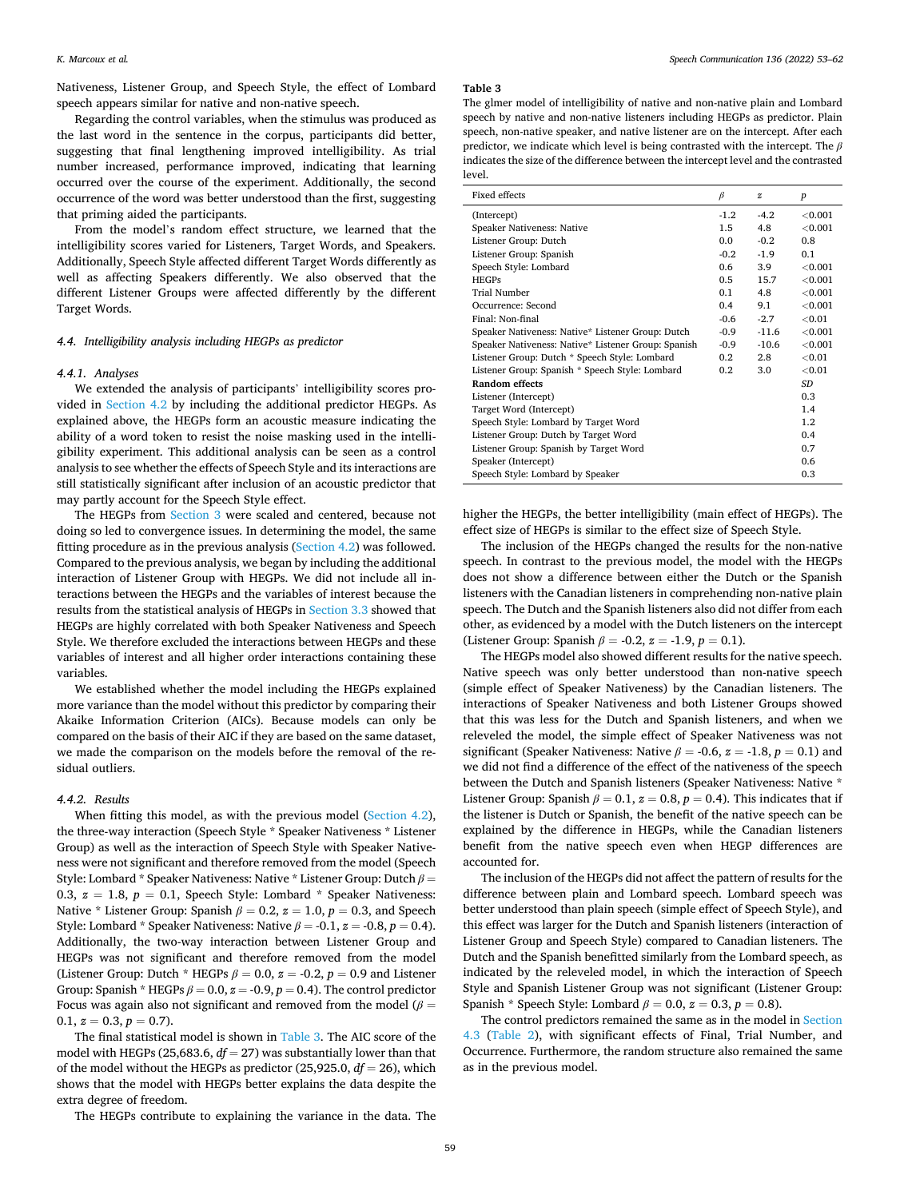Nativeness, Listener Group, and Speech Style, the effect of Lombard speech appears similar for native and non-native speech.

Regarding the control variables, when the stimulus was produced as the last word in the sentence in the corpus, participants did better, suggesting that final lengthening improved intelligibility. As trial number increased, performance improved, indicating that learning occurred over the course of the experiment. Additionally, the second occurrence of the word was better understood than the first, suggesting that priming aided the participants.

From the model's random effect structure, we learned that the intelligibility scores varied for Listeners, Target Words, and Speakers. Additionally, Speech Style affected different Target Words differently as well as affecting Speakers differently. We also observed that the different Listener Groups were affected differently by the different Target Words.

#### *4.4. Intelligibility analysis including HEGPs as predictor*

### *4.4.1. Analyses*

We extended the analysis of participants' intelligibility scores provided in [Section 4.2](#page-4-0) by including the additional predictor HEGPs. As explained above, the HEGPs form an acoustic measure indicating the ability of a word token to resist the noise masking used in the intelligibility experiment. This additional analysis can be seen as a control analysis to see whether the effects of Speech Style and its interactions are still statistically significant after inclusion of an acoustic predictor that may partly account for the Speech Style effect.

The HEGPs from [Section 3](#page-3-0) were scaled and centered, because not doing so led to convergence issues. In determining the model, the same fitting procedure as in the previous analysis [\(Section 4.2](#page-4-0)) was followed. Compared to the previous analysis, we began by including the additional interaction of Listener Group with HEGPs. We did not include all interactions between the HEGPs and the variables of interest because the results from the statistical analysis of HEGPs in [Section 3.3](#page-3-0) showed that HEGPs are highly correlated with both Speaker Nativeness and Speech Style. We therefore excluded the interactions between HEGPs and these variables of interest and all higher order interactions containing these variables.

We established whether the model including the HEGPs explained more variance than the model without this predictor by comparing their Akaike Information Criterion (AICs). Because models can only be compared on the basis of their AIC if they are based on the same dataset, we made the comparison on the models before the removal of the residual outliers.

## *4.4.2. Results*

When fitting this model, as with the previous model ([Section 4.2](#page-4-0)), the three-way interaction (Speech Style \* Speaker Nativeness \* Listener Group) as well as the interaction of Speech Style with Speaker Nativeness were not significant and therefore removed from the model (Speech Style: Lombard \* Speaker Nativeness: Native \* Listener Group: Dutch *β* = 0.3,  $z = 1.8$ ,  $p = 0.1$ , Speech Style: Lombard \* Speaker Nativeness: Native \* Listener Group: Spanish  $\beta = 0.2$ ,  $z = 1.0$ ,  $p = 0.3$ , and Speech Style: Lombard \* Speaker Nativeness: Native  $\beta = -0.1$ ,  $z = -0.8$ ,  $p = 0.4$ ). Additionally, the two-way interaction between Listener Group and HEGPs was not significant and therefore removed from the model (Listener Group: Dutch \* HEGPs  $\beta = 0.0$ ,  $z = -0.2$ ,  $p = 0.9$  and Listener Group: Spanish \* HEGPs  $\beta = 0.0$ ,  $z = -0.9$ ,  $p = 0.4$ ). The control predictor Focus was again also not significant and removed from the model ( $\beta$  =  $0.1, z = 0.3, p = 0.7$ .

The final statistical model is shown in Table 3. The AIC score of the model with HEGPs (25,683.6, *df* = 27) was substantially lower than that of the model without the HEGPs as predictor  $(25, 925.0, df = 26)$ , which shows that the model with HEGPs better explains the data despite the extra degree of freedom.

The HEGPs contribute to explaining the variance in the data. The

#### **Table 3**

The glmer model of intelligibility of native and non-native plain and Lombard speech by native and non-native listeners including HEGPs as predictor. Plain speech, non-native speaker, and native listener are on the intercept. After each predictor, we indicate which level is being contrasted with the intercept. The *β*  indicates the size of the difference between the intercept level and the contrasted level.

| <b>Fixed effects</b>                                | β             | $\boldsymbol{z}$ | p          |
|-----------------------------------------------------|---------------|------------------|------------|
| (Intercept)                                         | $-1.2$        | $-4.2$           | ${<}0.001$ |
| Speaker Nativeness: Native                          | 1.5           | 4.8              | < 0.001    |
| Listener Group: Dutch                               | $0.0^{\circ}$ | $-0.2$           | 0.8        |
| Listener Group: Spanish                             | $-0.2$        | $-1.9$           | 0.1        |
| Speech Style: Lombard                               | 0.6           | 3.9              | ${<}0.001$ |
| <b>HEGPs</b>                                        | $0.5^{\circ}$ | 15.7             | < 0.001    |
| Trial Number                                        | 0.1           | 4.8              | < 0.001    |
| Occurrence: Second                                  | 0.4           | 9.1              | < 0.001    |
| Final: Non-final                                    | $-0.6$        | $-2.7$           | < 0.01     |
| Speaker Nativeness: Native* Listener Group: Dutch   | $-0.9$        | $-11.6$          | < 0.001    |
| Speaker Nativeness: Native* Listener Group: Spanish | $-0.9$        | $-10.6$          | < 0.001    |
| Listener Group: Dutch * Speech Style: Lombard       | 0.2           | 2.8              | < 0.01     |
| Listener Group: Spanish * Speech Style: Lombard     |               | 3.0              | < 0.01     |
| <b>Random</b> effects                               |               |                  | SD         |
| Listener (Intercept)                                |               |                  | 0.3        |
| Target Word (Intercept)                             |               |                  | 1.4        |
| Speech Style: Lombard by Target Word                |               |                  | 1.2        |
| Listener Group: Dutch by Target Word                |               |                  | 0.4        |
| Listener Group: Spanish by Target Word              |               |                  | 0.7        |
| Speaker (Intercept)                                 |               |                  | 0.6        |
| Speech Style: Lombard by Speaker                    |               |                  | 0.3        |

higher the HEGPs, the better intelligibility (main effect of HEGPs). The effect size of HEGPs is similar to the effect size of Speech Style.

The inclusion of the HEGPs changed the results for the non-native speech. In contrast to the previous model, the model with the HEGPs does not show a difference between either the Dutch or the Spanish listeners with the Canadian listeners in comprehending non-native plain speech. The Dutch and the Spanish listeners also did not differ from each other, as evidenced by a model with the Dutch listeners on the intercept (Listener Group: Spanish  $\beta = -0.2$ ,  $z = -1.9$ ,  $p = 0.1$ ).

The HEGPs model also showed different results for the native speech. Native speech was only better understood than non-native speech (simple effect of Speaker Nativeness) by the Canadian listeners. The interactions of Speaker Nativeness and both Listener Groups showed that this was less for the Dutch and Spanish listeners, and when we releveled the model, the simple effect of Speaker Nativeness was not significant (Speaker Nativeness: Native  $\beta$  = -0.6,  $z$  = -1.8,  $p$  = 0.1) and we did not find a difference of the effect of the nativeness of the speech between the Dutch and Spanish listeners (Speaker Nativeness: Native \* Listener Group: Spanish  $\beta = 0.1$ ,  $z = 0.8$ ,  $p = 0.4$ ). This indicates that if the listener is Dutch or Spanish, the benefit of the native speech can be explained by the difference in HEGPs, while the Canadian listeners benefit from the native speech even when HEGP differences are accounted for.

The inclusion of the HEGPs did not affect the pattern of results for the difference between plain and Lombard speech. Lombard speech was better understood than plain speech (simple effect of Speech Style), and this effect was larger for the Dutch and Spanish listeners (interaction of Listener Group and Speech Style) compared to Canadian listeners. The Dutch and the Spanish benefitted similarly from the Lombard speech, as indicated by the releveled model, in which the interaction of Speech Style and Spanish Listener Group was not significant (Listener Group: Spanish \* Speech Style: Lombard *β* = 0.0, *z* = 0.3, *p* = 0.8).

The control predictors remained the same as in the model in [Section](#page-5-0)  [4.3 \(Table 2\)](#page-5-0), with significant effects of Final, Trial Number, and Occurrence. Furthermore, the random structure also remained the same as in the previous model.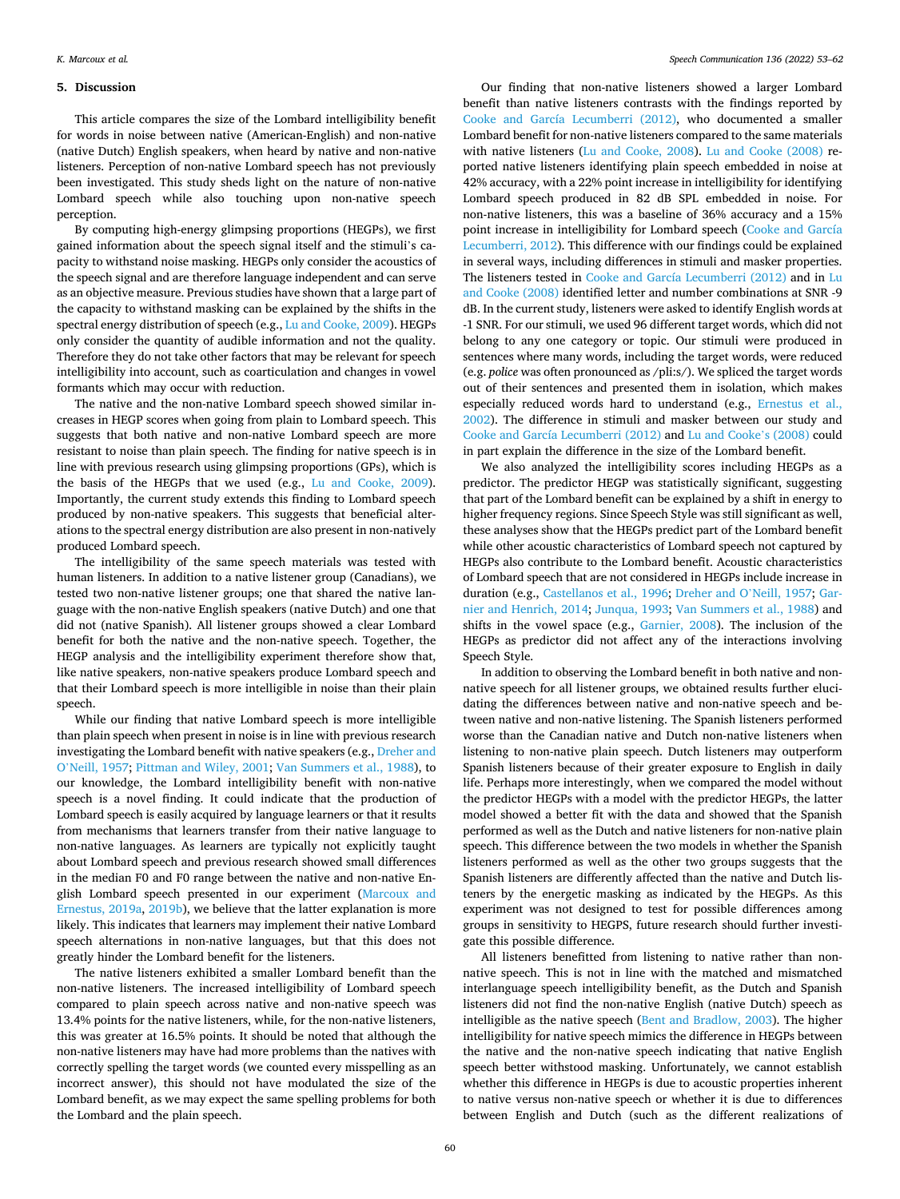#### **5. Discussion**

This article compares the size of the Lombard intelligibility benefit for words in noise between native (American-English) and non-native (native Dutch) English speakers, when heard by native and non-native listeners. Perception of non-native Lombard speech has not previously been investigated. This study sheds light on the nature of non-native Lombard speech while also touching upon non-native speech perception.

By computing high-energy glimpsing proportions (HEGPs), we first gained information about the speech signal itself and the stimuli's capacity to withstand noise masking. HEGPs only consider the acoustics of the speech signal and are therefore language independent and can serve as an objective measure. Previous studies have shown that a large part of the capacity to withstand masking can be explained by the shifts in the spectral energy distribution of speech (e.g., [Lu and Cooke, 2009\)](#page-9-0). HEGPs only consider the quantity of audible information and not the quality. Therefore they do not take other factors that may be relevant for speech intelligibility into account, such as coarticulation and changes in vowel formants which may occur with reduction.

The native and the non-native Lombard speech showed similar increases in HEGP scores when going from plain to Lombard speech. This suggests that both native and non-native Lombard speech are more resistant to noise than plain speech. The finding for native speech is in line with previous research using glimpsing proportions (GPs), which is the basis of the HEGPs that we used (e.g., [Lu and Cooke, 2009](#page-9-0)). Importantly, the current study extends this finding to Lombard speech produced by non-native speakers. This suggests that beneficial alterations to the spectral energy distribution are also present in non-natively produced Lombard speech.

The intelligibility of the same speech materials was tested with human listeners. In addition to a native listener group (Canadians), we tested two non-native listener groups; one that shared the native language with the non-native English speakers (native Dutch) and one that did not (native Spanish). All listener groups showed a clear Lombard benefit for both the native and the non-native speech. Together, the HEGP analysis and the intelligibility experiment therefore show that, like native speakers, non-native speakers produce Lombard speech and that their Lombard speech is more intelligible in noise than their plain speech.

While our finding that native Lombard speech is more intelligible than plain speech when present in noise is in line with previous research investigating the Lombard benefit with native speakers (e.g., [Dreher and](#page-9-0)  O'[Neill, 1957](#page-9-0); [Pittman and Wiley, 2001](#page-9-0); [Van Summers et al., 1988](#page-9-0)), to our knowledge, the Lombard intelligibility benefit with non-native speech is a novel finding. It could indicate that the production of Lombard speech is easily acquired by language learners or that it results from mechanisms that learners transfer from their native language to non-native languages. As learners are typically not explicitly taught about Lombard speech and previous research showed small differences in the median F0 and F0 range between the native and non-native English Lombard speech presented in our experiment ([Marcoux and](#page-9-0)  [Ernestus, 2019a, 2019b\)](#page-9-0), we believe that the latter explanation is more likely. This indicates that learners may implement their native Lombard speech alternations in non-native languages, but that this does not greatly hinder the Lombard benefit for the listeners.

The native listeners exhibited a smaller Lombard benefit than the non-native listeners. The increased intelligibility of Lombard speech compared to plain speech across native and non-native speech was 13.4% points for the native listeners, while, for the non-native listeners, this was greater at 16.5% points. It should be noted that although the non-native listeners may have had more problems than the natives with correctly spelling the target words (we counted every misspelling as an incorrect answer), this should not have modulated the size of the Lombard benefit, as we may expect the same spelling problems for both the Lombard and the plain speech.

Our finding that non-native listeners showed a larger Lombard benefit than native listeners contrasts with the findings reported by [Cooke and García Lecumberri \(2012\),](#page-9-0) who documented a smaller Lombard benefit for non-native listeners compared to the same materials with native listeners [\(Lu and Cooke, 2008](#page-9-0)). [Lu and Cooke \(2008\)](#page-9-0) reported native listeners identifying plain speech embedded in noise at 42% accuracy, with a 22% point increase in intelligibility for identifying Lombard speech produced in 82 dB SPL embedded in noise. For non-native listeners, this was a baseline of 36% accuracy and a 15% point increase in intelligibility for Lombard speech (Cooke and García [Lecumberri, 2012\)](#page-9-0). This difference with our findings could be explained in several ways, including differences in stimuli and masker properties. The listeners tested in [Cooke and García Lecumberri \(2012\)](#page-9-0) and in [Lu](#page-9-0)  [and Cooke \(2008\)](#page-9-0) identified letter and number combinations at SNR -9 dB. In the current study, listeners were asked to identify English words at -1 SNR. For our stimuli, we used 96 different target words, which did not belong to any one category or topic. Our stimuli were produced in sentences where many words, including the target words, were reduced (e.g. *police* was often pronounced as /pli:s/). We spliced the target words out of their sentences and presented them in isolation, which makes especially reduced words hard to understand (e.g., [Ernestus et al.,](#page-9-0)  [2002\)](#page-9-0). The difference in stimuli and masker between our study and [Cooke and García Lecumberri \(2012\)](#page-9-0) and [Lu and Cooke](#page-9-0)'s (2008) could in part explain the difference in the size of the Lombard benefit.

We also analyzed the intelligibility scores including HEGPs as a predictor. The predictor HEGP was statistically significant, suggesting that part of the Lombard benefit can be explained by a shift in energy to higher frequency regions. Since Speech Style was still significant as well, these analyses show that the HEGPs predict part of the Lombard benefit while other acoustic characteristics of Lombard speech not captured by HEGPs also contribute to the Lombard benefit. Acoustic characteristics of Lombard speech that are not considered in HEGPs include increase in duration (e.g., [Castellanos et al., 1996](#page-9-0); [Dreher and O](#page-9-0)'Neill, 1957; [Gar](#page-9-0)[nier and Henrich, 2014](#page-9-0); [Junqua, 1993; Van Summers et al., 1988](#page-9-0)) and shifts in the vowel space (e.g., [Garnier, 2008](#page-9-0)). The inclusion of the HEGPs as predictor did not affect any of the interactions involving Speech Style.

In addition to observing the Lombard benefit in both native and nonnative speech for all listener groups, we obtained results further elucidating the differences between native and non-native speech and between native and non-native listening. The Spanish listeners performed worse than the Canadian native and Dutch non-native listeners when listening to non-native plain speech. Dutch listeners may outperform Spanish listeners because of their greater exposure to English in daily life. Perhaps more interestingly, when we compared the model without the predictor HEGPs with a model with the predictor HEGPs, the latter model showed a better fit with the data and showed that the Spanish performed as well as the Dutch and native listeners for non-native plain speech. This difference between the two models in whether the Spanish listeners performed as well as the other two groups suggests that the Spanish listeners are differently affected than the native and Dutch listeners by the energetic masking as indicated by the HEGPs. As this experiment was not designed to test for possible differences among groups in sensitivity to HEGPS, future research should further investigate this possible difference.

All listeners benefitted from listening to native rather than nonnative speech. This is not in line with the matched and mismatched interlanguage speech intelligibility benefit, as the Dutch and Spanish listeners did not find the non-native English (native Dutch) speech as intelligible as the native speech ([Bent and Bradlow, 2003](#page-9-0)). The higher intelligibility for native speech mimics the difference in HEGPs between the native and the non-native speech indicating that native English speech better withstood masking. Unfortunately, we cannot establish whether this difference in HEGPs is due to acoustic properties inherent to native versus non-native speech or whether it is due to differences between English and Dutch (such as the different realizations of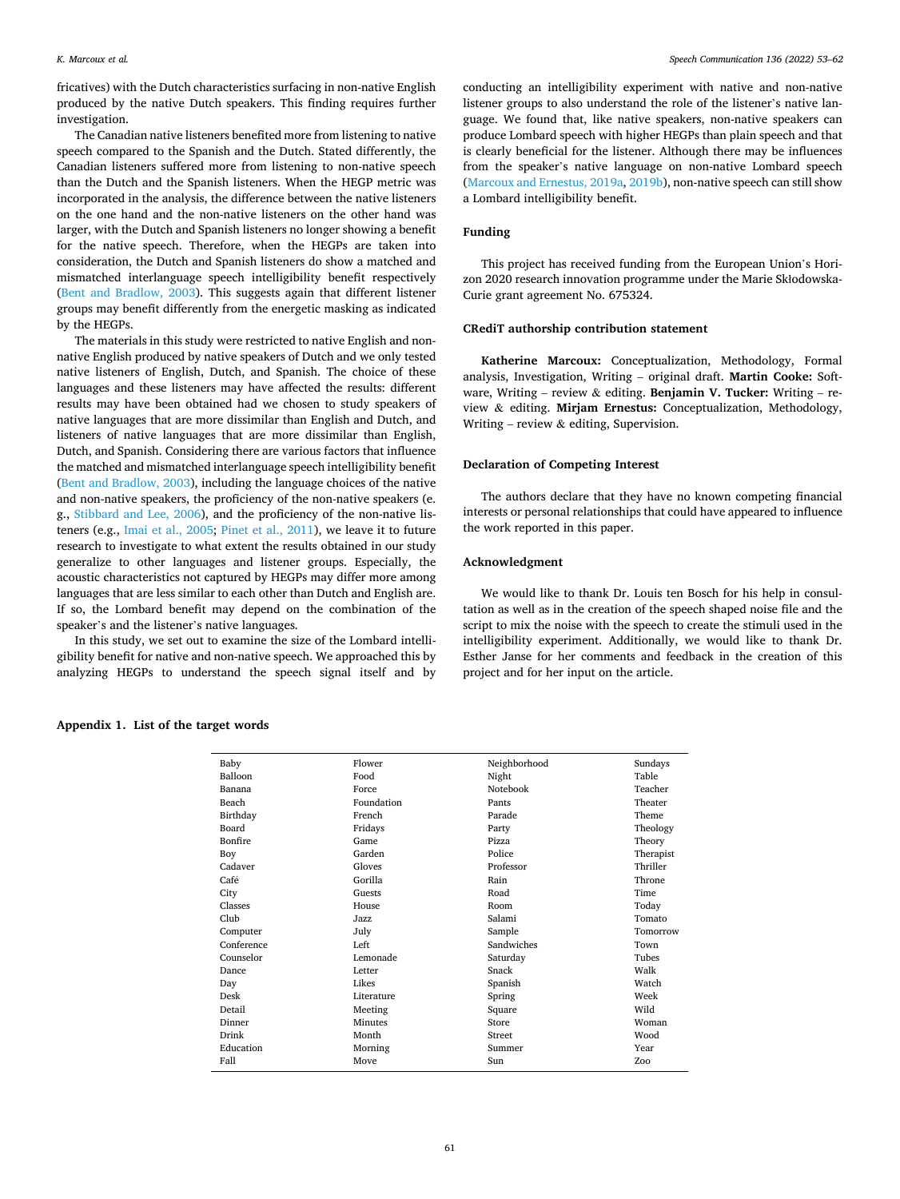<span id="page-8-0"></span>fricatives) with the Dutch characteristics surfacing in non-native English produced by the native Dutch speakers. This finding requires further investigation.

The Canadian native listeners benefited more from listening to native speech compared to the Spanish and the Dutch. Stated differently, the Canadian listeners suffered more from listening to non-native speech than the Dutch and the Spanish listeners. When the HEGP metric was incorporated in the analysis, the difference between the native listeners on the one hand and the non-native listeners on the other hand was larger, with the Dutch and Spanish listeners no longer showing a benefit for the native speech. Therefore, when the HEGPs are taken into consideration, the Dutch and Spanish listeners do show a matched and mismatched interlanguage speech intelligibility benefit respectively ([Bent and Bradlow, 2003](#page-9-0)). This suggests again that different listener groups may benefit differently from the energetic masking as indicated by the HEGPs.

The materials in this study were restricted to native English and nonnative English produced by native speakers of Dutch and we only tested native listeners of English, Dutch, and Spanish. The choice of these languages and these listeners may have affected the results: different results may have been obtained had we chosen to study speakers of native languages that are more dissimilar than English and Dutch, and listeners of native languages that are more dissimilar than English, Dutch, and Spanish. Considering there are various factors that influence the matched and mismatched interlanguage speech intelligibility benefit ([Bent and Bradlow, 2003\)](#page-9-0), including the language choices of the native and non-native speakers, the proficiency of the non-native speakers (e. g., [Stibbard and Lee, 2006\)](#page-9-0), and the proficiency of the non-native listeners (e.g., [Imai et al., 2005](#page-9-0); [Pinet et al., 2011\)](#page-9-0), we leave it to future research to investigate to what extent the results obtained in our study generalize to other languages and listener groups. Especially, the acoustic characteristics not captured by HEGPs may differ more among languages that are less similar to each other than Dutch and English are. If so, the Lombard benefit may depend on the combination of the speaker's and the listener's native languages.

In this study, we set out to examine the size of the Lombard intelligibility benefit for native and non-native speech. We approached this by analyzing HEGPs to understand the speech signal itself and by

conducting an intelligibility experiment with native and non-native listener groups to also understand the role of the listener's native language. We found that, like native speakers, non-native speakers can produce Lombard speech with higher HEGPs than plain speech and that is clearly beneficial for the listener. Although there may be influences from the speaker's native language on non-native Lombard speech ([Marcoux and Ernestus, 2019a, 2019b\)](#page-9-0), non-native speech can still show a Lombard intelligibility benefit.

## **Funding**

This project has received funding from the European Union's Horizon 2020 research innovation programme under the Marie Skłodowska-Curie grant agreement No. 675324.

### **CRediT authorship contribution statement**

**Katherine Marcoux:** Conceptualization, Methodology, Formal analysis, Investigation, Writing – original draft. **Martin Cooke:** Software, Writing – review & editing. **Benjamin V. Tucker:** Writing – review & editing. **Mirjam Ernestus:** Conceptualization, Methodology, Writing – review & editing, Supervision.

# **Declaration of Competing Interest**

The authors declare that they have no known competing financial interests or personal relationships that could have appeared to influence the work reported in this paper.

## **Acknowledgment**

We would like to thank Dr. Louis ten Bosch for his help in consultation as well as in the creation of the speech shaped noise file and the script to mix the noise with the speech to create the stimuli used in the intelligibility experiment. Additionally, we would like to thank Dr. Esther Janse for her comments and feedback in the creation of this project and for her input on the article.

## **Appendix 1. List of the target words**

| Baby       | Flower     | Neighborhood    | Sundays   |
|------------|------------|-----------------|-----------|
| Balloon    | Food       | Night           | Table     |
| Banana     | Force      | <b>Notebook</b> | Teacher   |
| Beach      | Foundation | Pants           | Theater   |
| Birthday   | French     | Parade          | Theme     |
| Board      | Fridays    | Party           | Theology  |
| Bonfire    | Game       | Pizza           | Theory    |
| Boy        | Garden     | Police          | Therapist |
| Cadaver    | Gloves     | Professor       | Thriller  |
| Café       | Gorilla    | Rain            | Throne    |
| City       | Guests     | Road            | Time      |
| Classes    | House      | Room            | Today     |
| Club       | Jazz.      | Salami          | Tomato    |
| Computer   | July       | Sample          | Tomorrow  |
| Conference | Left       | Sandwiches      | Town      |
| Counselor  | Lemonade   | Saturday        | Tubes     |
| Dance      | Letter     | Snack           | Walk      |
| Day        | Likes      | Spanish         | Watch     |
| Desk       | Literature | Spring          | Week      |
| Detail     | Meeting    | Square          | Wild      |
| Dinner     | Minutes    | <b>Store</b>    | Woman     |
| Drink      | Month      | Street          | Wood      |
| Education  | Morning    | Summer          | Year      |
| Fall       | Move       | Sun             | Zoo       |